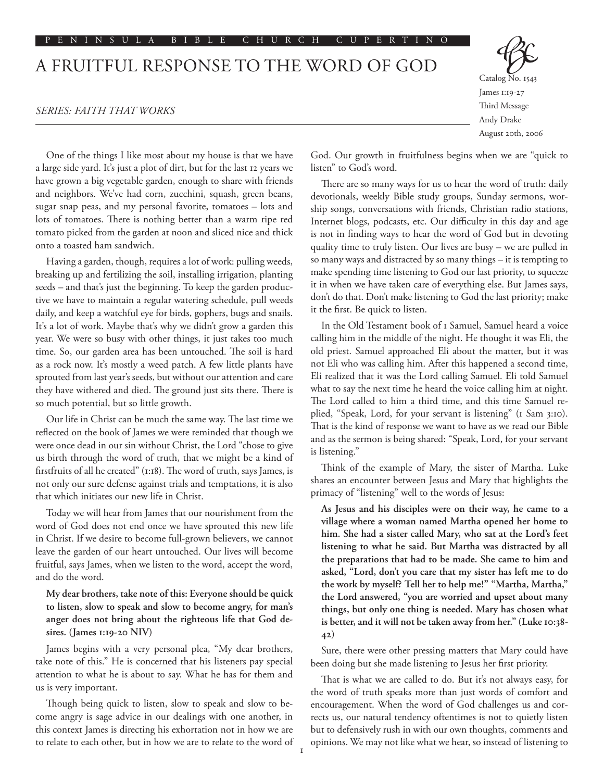#### P E N I N S U L A B I B L E C H U R C H C U P E R T I N O

# A FRUITFUL RESPONSE TO THE WORD OF GOD

#### *SERIES: FAITH THAT WORKS*

Catalog No. 1543 James 1:19-27 Third Message Andy Drake August 20th, 2006

One of the things I like most about my house is that we have a large side yard. It's just a plot of dirt, but for the last 12 years we have grown a big vegetable garden, enough to share with friends and neighbors. We've had corn, zucchini, squash, green beans, sugar snap peas, and my personal favorite, tomatoes – lots and lots of tomatoes. There is nothing better than a warm ripe red tomato picked from the garden at noon and sliced nice and thick onto a toasted ham sandwich.

Having a garden, though, requires a lot of work: pulling weeds, breaking up and fertilizing the soil, installing irrigation, planting seeds – and that's just the beginning. To keep the garden productive we have to maintain a regular watering schedule, pull weeds daily, and keep a watchful eye for birds, gophers, bugs and snails. It's a lot of work. Maybe that's why we didn't grow a garden this year. We were so busy with other things, it just takes too much time. So, our garden area has been untouched. The soil is hard as a rock now. It's mostly a weed patch. A few little plants have sprouted from last year's seeds, but without our attention and care they have withered and died. The ground just sits there. There is so much potential, but so little growth.

Our life in Christ can be much the same way. The last time we reflected on the book of James we were reminded that though we were once dead in our sin without Christ, the Lord "chose to give us birth through the word of truth, that we might be a kind of firstfruits of all he created" (1:18). The word of truth, says James, is not only our sure defense against trials and temptations, it is also that which initiates our new life in Christ.

Today we will hear from James that our nourishment from the word of God does not end once we have sprouted this new life in Christ. If we desire to become full-grown believers, we cannot leave the garden of our heart untouched. Our lives will become fruitful, says James, when we listen to the word, accept the word, and do the word.

## **My dear brothers, take note of this: Everyone should be quick to listen, slow to speak and slow to become angry, for man's anger does not bring about the righteous life that God desires. (James 1:19-20 NIV)**

James begins with a very personal plea, "My dear brothers, take note of this." He is concerned that his listeners pay special attention to what he is about to say. What he has for them and us is very important.

Though being quick to listen, slow to speak and slow to become angry is sage advice in our dealings with one another, in this context James is directing his exhortation not in how we are to relate to each other, but in how we are to relate to the word of God. Our growth in fruitfulness begins when we are "quick to listen" to God's word.

There are so many ways for us to hear the word of truth: daily devotionals, weekly Bible study groups, Sunday sermons, worship songs, conversations with friends, Christian radio stations, Internet blogs, podcasts, etc. Our difficulty in this day and age is not in finding ways to hear the word of God but in devoting quality time to truly listen. Our lives are busy – we are pulled in so many ways and distracted by so many things – it is tempting to make spending time listening to God our last priority, to squeeze it in when we have taken care of everything else. But James says, don't do that. Don't make listening to God the last priority; make it the first. Be quick to listen.

In the Old Testament book of 1 Samuel, Samuel heard a voice calling him in the middle of the night. He thought it was Eli, the old priest. Samuel approached Eli about the matter, but it was not Eli who was calling him. After this happened a second time, Eli realized that it was the Lord calling Samuel. Eli told Samuel what to say the next time he heard the voice calling him at night. The Lord called to him a third time, and this time Samuel replied, "Speak, Lord, for your servant is listening" (1 Sam 3:10). That is the kind of response we want to have as we read our Bible and as the sermon is being shared: "Speak, Lord, for your servant is listening."

Think of the example of Mary, the sister of Martha. Luke shares an encounter between Jesus and Mary that highlights the primacy of "listening" well to the words of Jesus:

**As Jesus and his disciples were on their way, he came to a village where a woman named Martha opened her home to him. She had a sister called Mary, who sat at the Lord's feet listening to what he said. But Martha was distracted by all the preparations that had to be made. She came to him and asked, "Lord, don't you care that my sister has left me to do the work by myself? Tell her to help me!" "Martha, Martha," the Lord answered, "you are worried and upset about many things, but only one thing is needed. Mary has chosen what is better, and it will not be taken away from her." (Luke 10:38- 42)**

Sure, there were other pressing matters that Mary could have been doing but she made listening to Jesus her first priority.

That is what we are called to do. But it's not always easy, for the word of truth speaks more than just words of comfort and encouragement. When the word of God challenges us and corrects us, our natural tendency oftentimes is not to quietly listen but to defensively rush in with our own thoughts, comments and opinions. We may not like what we hear, so instead of listening to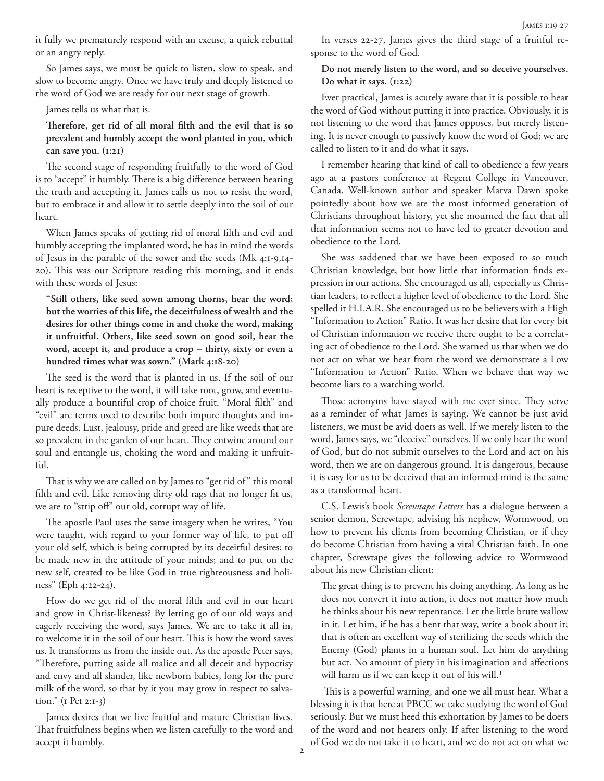it fully we prematurely respond with an excuse, a quick rebuttal or an angry reply.

So James says, we must be quick to listen, slow to speak, and slow to become angry. Once we have truly and deeply listened to the word of God we are ready for our next stage of growth.

James tells us what that is.

## **Therefore, get rid of all moral filth and the evil that is so prevalent and humbly accept the word planted in you, which can save you. (1:21)**

The second stage of responding fruitfully to the word of God is to "accept" it humbly. There is a big difference between hearing the truth and accepting it. James calls us not to resist the word, but to embrace it and allow it to settle deeply into the soil of our heart.

When James speaks of getting rid of moral filth and evil and humbly accepting the implanted word, he has in mind the words of Jesus in the parable of the sower and the seeds (Mk 4:1-9,14- 20). This was our Scripture reading this morning, and it ends with these words of Jesus:

**"Still others, like seed sown among thorns, hear the word; but the worries of this life, the deceitfulness of wealth and the desires for other things come in and choke the word, making it unfruitful. Others, like seed sown on good soil, hear the word, accept it, and produce a crop – thirty, sixty or even a hundred times what was sown." (Mark 4:18-20)**

The seed is the word that is planted in us. If the soil of our heart is receptive to the word, it will take root, grow, and eventually produce a bountiful crop of choice fruit. "Moral filth" and "evil" are terms used to describe both impure thoughts and impure deeds. Lust, jealousy, pride and greed are like weeds that are so prevalent in the garden of our heart. They entwine around our soul and entangle us, choking the word and making it unfruitful.

That is why we are called on by James to "get rid of" this moral filth and evil. Like removing dirty old rags that no longer fit us, we are to "strip off" our old, corrupt way of life.

The apostle Paul uses the same imagery when he writes, "You were taught, with regard to your former way of life, to put off your old self, which is being corrupted by its deceitful desires; to be made new in the attitude of your minds; and to put on the new self, created to be like God in true righteousness and holiness" (Eph 4:22-24).

How do we get rid of the moral filth and evil in our heart and grow in Christ-likeness? By letting go of our old ways and eagerly receiving the word, says James. We are to take it all in, to welcome it in the soil of our heart. This is how the word saves us. It transforms us from the inside out. As the apostle Peter says, "Therefore, putting aside all malice and all deceit and hypocrisy and envy and all slander, like newborn babies, long for the pure milk of the word, so that by it you may grow in respect to salvation." (1 Pet 2:1-3)

James desires that we live fruitful and mature Christian lives. That fruitfulness begins when we listen carefully to the word and accept it humbly.

In verses 22-27, James gives the third stage of a fruitful response to the word of God.

## **Do not merely listen to the word, and so deceive yourselves. Do what it says. (1:22)**

Ever practical, James is acutely aware that it is possible to hear the word of God without putting it into practice. Obviously, it is not listening to the word that James opposes, but merely listening. It is never enough to passively know the word of God; we are called to listen to it and do what it says.

I remember hearing that kind of call to obedience a few years ago at a pastors conference at Regent College in Vancouver, Canada. Well-known author and speaker Marva Dawn spoke pointedly about how we are the most informed generation of Christians throughout history, yet she mourned the fact that all that information seems not to have led to greater devotion and obedience to the Lord.

She was saddened that we have been exposed to so much Christian knowledge, but how little that information finds expression in our actions. She encouraged us all, especially as Christian leaders, to reflect a higher level of obedience to the Lord. She spelled it H.I.A.R. She encouraged us to be believers with a High "Information to Action" Ratio. It was her desire that for every bit of Christian information we receive there ought to be a correlating act of obedience to the Lord. She warned us that when we do not act on what we hear from the word we demonstrate a Low "Information to Action" Ratio. When we behave that way we become liars to a watching world.

Those acronyms have stayed with me ever since. They serve as a reminder of what James is saying. We cannot be just avid listeners, we must be avid doers as well. If we merely listen to the word, James says, we "deceive" ourselves. If we only hear the word of God, but do not submit ourselves to the Lord and act on his word, then we are on dangerous ground. It is dangerous, because it is easy for us to be deceived that an informed mind is the same as a transformed heart.

C.S. Lewis's book *Screwtape Letters* has a dialogue between a senior demon, Screwtape, advising his nephew, Wormwood, on how to prevent his clients from becoming Christian, or if they do become Christian from having a vital Christian faith. In one chapter, Screwtape gives the following advice to Wormwood about his new Christian client:

The great thing is to prevent his doing anything. As long as he does not convert it into action, it does not matter how much he thinks about his new repentance. Let the little brute wallow in it. Let him, if he has a bent that way, write a book about it; that is often an excellent way of sterilizing the seeds which the Enemy (God) plants in a human soul. Let him do anything but act. No amount of piety in his imagination and affections will harm us if we can keep it out of his will.<sup>1</sup>

 This is a powerful warning, and one we all must hear. What a blessing it is that here at PBCC we take studying the word of God seriously. But we must heed this exhortation by James to be doers of the word and not hearers only. If after listening to the word of God we do not take it to heart, and we do not act on what we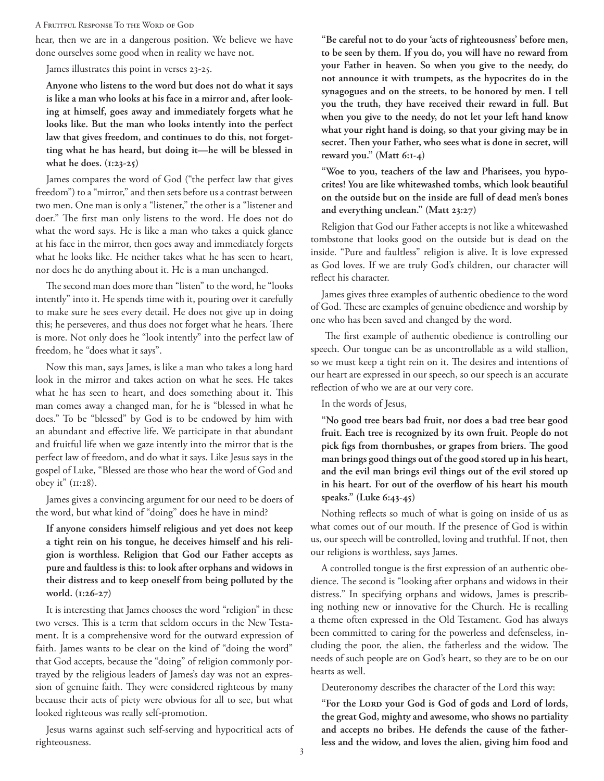#### A Fruitful Response To the Word of God

hear, then we are in a dangerous position. We believe we have done ourselves some good when in reality we have not.

James illustrates this point in verses 23-25.

**Anyone who listens to the word but does not do what it says is like a man who looks at his face in a mirror and, after looking at himself, goes away and immediately forgets what he looks like. But the man who looks intently into the perfect law that gives freedom, and continues to do this, not forgetting what he has heard, but doing it—he will be blessed in what he does. (1:23-25)**

James compares the word of God ("the perfect law that gives freedom") to a "mirror," and then sets before us a contrast between two men. One man is only a "listener," the other is a "listener and doer." The first man only listens to the word. He does not do what the word says. He is like a man who takes a quick glance at his face in the mirror, then goes away and immediately forgets what he looks like. He neither takes what he has seen to heart, nor does he do anything about it. He is a man unchanged.

The second man does more than "listen" to the word, he "looks intently" into it. He spends time with it, pouring over it carefully to make sure he sees every detail. He does not give up in doing this; he perseveres, and thus does not forget what he hears. There is more. Not only does he "look intently" into the perfect law of freedom, he "does what it says".

Now this man, says James, is like a man who takes a long hard look in the mirror and takes action on what he sees. He takes what he has seen to heart, and does something about it. This man comes away a changed man, for he is "blessed in what he does." To be "blessed" by God is to be endowed by him with an abundant and effective life. We participate in that abundant and fruitful life when we gaze intently into the mirror that is the perfect law of freedom, and do what it says. Like Jesus says in the gospel of Luke, "Blessed are those who hear the word of God and obey it" (11:28).

James gives a convincing argument for our need to be doers of the word, but what kind of "doing" does he have in mind?

**If anyone considers himself religious and yet does not keep a tight rein on his tongue, he deceives himself and his religion is worthless. Religion that God our Father accepts as pure and faultless is this: to look after orphans and widows in their distress and to keep oneself from being polluted by the world. (1:26-27)**

It is interesting that James chooses the word "religion" in these two verses. This is a term that seldom occurs in the New Testament. It is a comprehensive word for the outward expression of faith. James wants to be clear on the kind of "doing the word" that God accepts, because the "doing" of religion commonly portrayed by the religious leaders of James's day was not an expression of genuine faith. They were considered righteous by many because their acts of piety were obvious for all to see, but what looked righteous was really self-promotion.

Jesus warns against such self-serving and hypocritical acts of righteousness.

**"Be careful not to do your 'acts of righteousness' before men, to be seen by them. If you do, you will have no reward from your Father in heaven. So when you give to the needy, do not announce it with trumpets, as the hypocrites do in the synagogues and on the streets, to be honored by men. I tell you the truth, they have received their reward in full. But when you give to the needy, do not let your left hand know what your right hand is doing, so that your giving may be in secret. Then your Father, who sees what is done in secret, will reward you." (Matt 6:1-4)**

**"Woe to you, teachers of the law and Pharisees, you hypocrites! You are like whitewashed tombs, which look beautiful on the outside but on the inside are full of dead men's bones and everything unclean." (Matt 23:27)**

Religion that God our Father accepts is not like a whitewashed tombstone that looks good on the outside but is dead on the inside. "Pure and faultless" religion is alive. It is love expressed as God loves. If we are truly God's children, our character will reflect his character.

James gives three examples of authentic obedience to the word of God. These are examples of genuine obedience and worship by one who has been saved and changed by the word.

 The first example of authentic obedience is controlling our speech. Our tongue can be as uncontrollable as a wild stallion, so we must keep a tight rein on it. The desires and intentions of our heart are expressed in our speech, so our speech is an accurate reflection of who we are at our very core.

In the words of Jesus,

**"No good tree bears bad fruit, nor does a bad tree bear good fruit. Each tree is recognized by its own fruit. People do not pick figs from thornbushes, or grapes from briers. The good man brings good things out of the good stored up in his heart, and the evil man brings evil things out of the evil stored up in his heart. For out of the overflow of his heart his mouth speaks." (Luke 6:43-45)**

Nothing reflects so much of what is going on inside of us as what comes out of our mouth. If the presence of God is within us, our speech will be controlled, loving and truthful. If not, then our religions is worthless, says James.

A controlled tongue is the first expression of an authentic obedience. The second is "looking after orphans and widows in their distress." In specifying orphans and widows, James is prescribing nothing new or innovative for the Church. He is recalling a theme often expressed in the Old Testament. God has always been committed to caring for the powerless and defenseless, including the poor, the alien, the fatherless and the widow. The needs of such people are on God's heart, so they are to be on our hearts as well.

Deuteronomy describes the character of the Lord this way:

**"For the Lord your God is God of gods and Lord of lords, the great God, mighty and awesome, who shows no partiality and accepts no bribes. He defends the cause of the fatherless and the widow, and loves the alien, giving him food and**